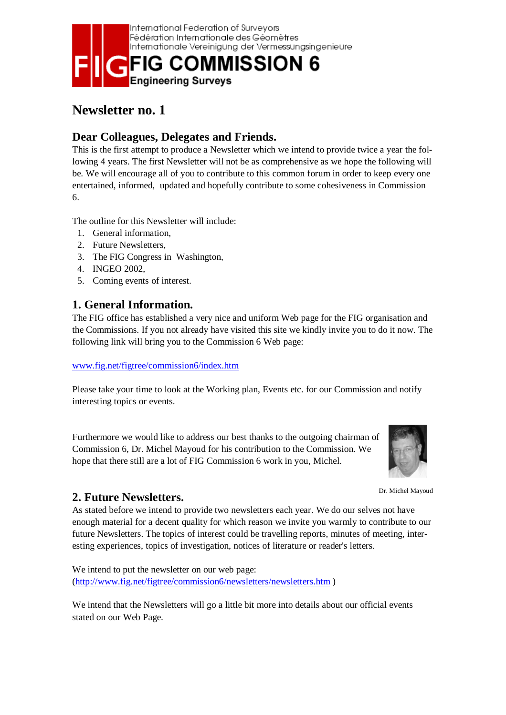

# **Newsletter no. 1**

## **Dear Colleagues, Delegates and Friends.**

This is the first attempt to produce a Newsletter which we intend to provide twice a year the following 4 years. The first Newsletter will not be as comprehensive as we hope the following will be. We will encourage all of you to contribute to this common forum in order to keep every one entertained, informed, updated and hopefully contribute to some cohesiveness in Commission 6.

The outline for this Newsletter will include:

- 1. General information,
- 2. Future Newsletters,
- 3. The FIG Congress in Washington,
- 4. INGEO 2002,
- 5. Coming events of interest.

### **1. General Information.**

The FIG office has established a very nice and uniform Web page for the FIG organisation and the Commissions. If you not already have visited this site we kindly invite you to do it now. The following link will bring you to the Commission 6 Web page:

#### www.fig.net/figtree/commission6/index.htm

Please take your time to look at the Working plan, Events etc. for our Commission and notify interesting topics or events.

Furthermore we would like to address our best thanks to the outgoing chairman of Commission 6, Dr. Michel Mayoud for his contribution to the Commission. We hope that there still are a lot of FIG Commission 6 work in you, Michel.



Dr. Michel Mayoud

### **2. Future Newsletters.**

As stated before we intend to provide two newsletters each year. We do our selves not have enough material for a decent quality for which reason we invite you warmly to contribute to our future Newsletters. The topics of interest could be travelling reports, minutes of meeting, interesting experiences, topics of investigation, notices of literature or reader's letters.

We intend to put the newsletter on our web page: (http://www.fig.net/figtree/commission6/newsletters/newsletters.htm )

We intend that the Newsletters will go a little bit more into details about our official events stated on our Web Page.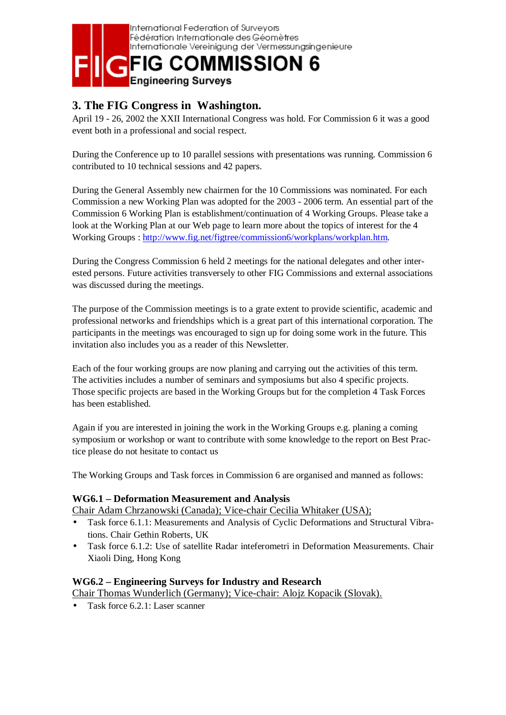

## **3. The FIG Congress in Washington.**

April 19 - 26, 2002 the XXII International Congress was hold. For Commission 6 it was a good event both in a professional and social respect.

During the Conference up to 10 parallel sessions with presentations was running. Commission 6 contributed to 10 technical sessions and 42 papers.

During the General Assembly new chairmen for the 10 Commissions was nominated. For each Commission a new Working Plan was adopted for the 2003 - 2006 term. An essential part of the Commission 6 Working Plan is establishment/continuation of 4 Working Groups. Please take a look at the Working Plan at our Web page to learn more about the topics of interest for the 4 Working Groups : http://www.fig.net/figtree/commission6/workplans/workplan.htm.

During the Congress Commission 6 held 2 meetings for the national delegates and other interested persons. Future activities transversely to other FIG Commissions and external associations was discussed during the meetings.

The purpose of the Commission meetings is to a grate extent to provide scientific, academic and professional networks and friendships which is a great part of this international corporation. The participants in the meetings was encouraged to sign up for doing some work in the future. This invitation also includes you as a reader of this Newsletter.

Each of the four working groups are now planing and carrying out the activities of this term. The activities includes a number of seminars and symposiums but also 4 specific projects. Those specific projects are based in the Working Groups but for the completion 4 Task Forces has been established.

Again if you are interested in joining the work in the Working Groups e.g. planing a coming symposium or workshop or want to contribute with some knowledge to the report on Best Practice please do not hesitate to contact us

The Working Groups and Task forces in Commission 6 are organised and manned as follows:

#### **WG6.1 – Deformation Measurement and Analysis**

Chair Adam Chrzanowski (Canada); Vice-chair Cecilia Whitaker (USA);

- Task force 6.1.1: Measurements and Analysis of Cyclic Deformations and Structural Vibrations. Chair Gethin Roberts, UK
- Task force 6.1.2: Use of satellite Radar inteferometri in Deformation Measurements. Chair Xiaoli Ding, Hong Kong

#### **WG6.2 – Engineering Surveys for Industry and Research**

Chair Thomas Wunderlich (Germany); Vice-chair: Alojz Kopacik (Slovak).

• Task force 6.2.1: Laser scanner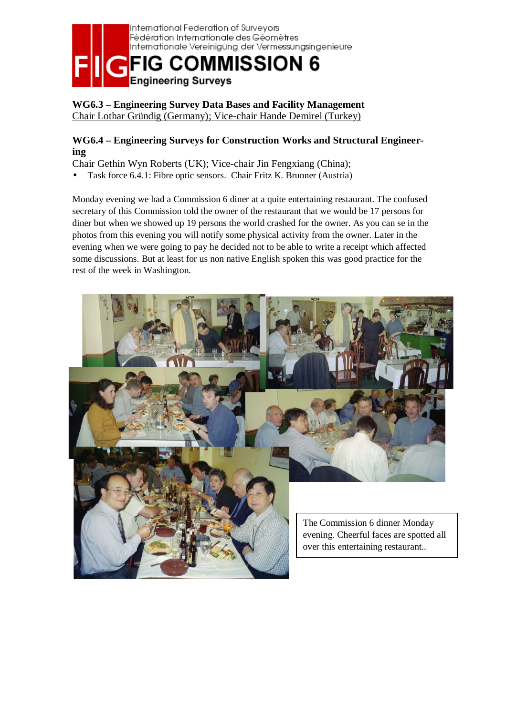

#### **WG6.3 – Engineering Survey Data Bases and Facility Management**  Chair Lothar Gründig (Germany); Vice-chair Hande Demirel (Turkey)

#### **WG6.4 – Engineering Surveys for Construction Works and Structural Engineering**

Chair Gethin Wyn Roberts (UK); Vice-chair Jin Fengxiang (China);

• Task force 6.4.1: Fibre optic sensors. Chair Fritz K. Brunner (Austria)

Monday evening we had a Commission 6 diner at a quite entertaining restaurant. The confused secretary of this Commission told the owner of the restaurant that we would be 17 persons for diner but when we showed up 19 persons the world crashed for the owner. As you can se in the photos from this evening you will notify some physical activity from the owner. Later in the evening when we were going to pay he decided not to be able to write a receipt which affected some discussions. But at least for us non native English spoken this was good practice for the rest of the week in Washington.